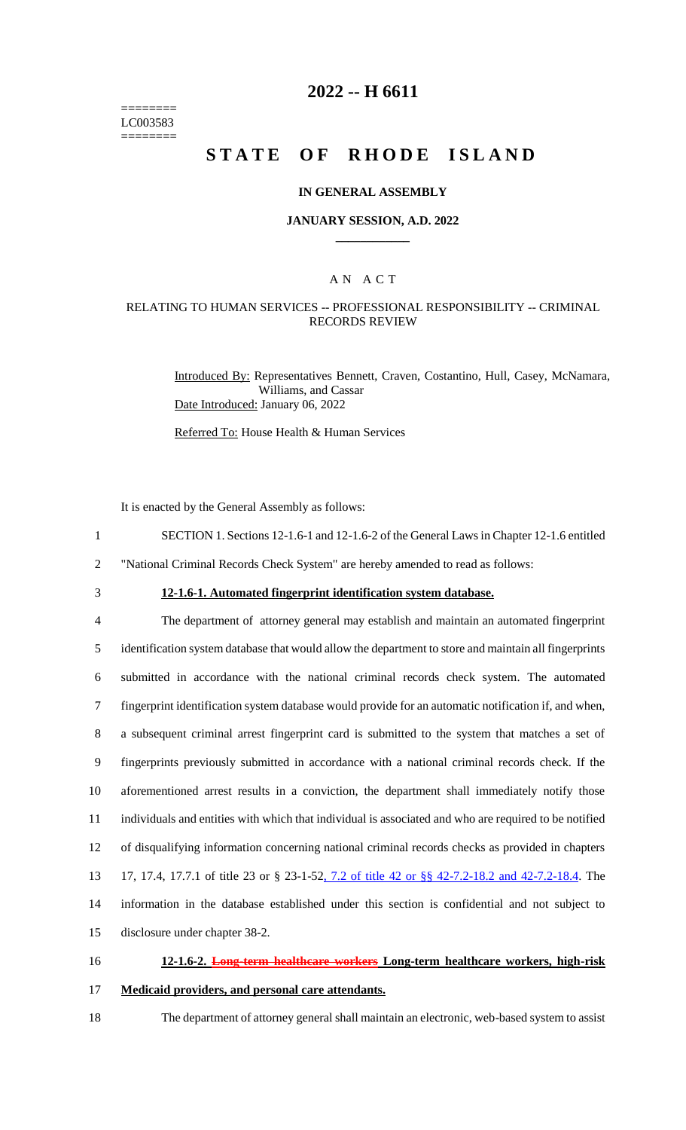======== LC003583 ========

### **2022 -- H 6611**

# **STATE OF RHODE ISLAND**

#### **IN GENERAL ASSEMBLY**

#### **JANUARY SESSION, A.D. 2022 \_\_\_\_\_\_\_\_\_\_\_\_**

### A N A C T

### RELATING TO HUMAN SERVICES -- PROFESSIONAL RESPONSIBILITY -- CRIMINAL RECORDS REVIEW

Introduced By: Representatives Bennett, Craven, Costantino, Hull, Casey, McNamara, Williams, and Cassar Date Introduced: January 06, 2022

Referred To: House Health & Human Services

It is enacted by the General Assembly as follows:

- 1 SECTION 1. Sections 12-1.6-1 and 12-1.6-2 of the General Laws in Chapter 12-1.6 entitled
- 2 "National Criminal Records Check System" are hereby amended to read as follows:
- 

## 3 **12-1.6-1. Automated fingerprint identification system database.**

 The department of attorney general may establish and maintain an automated fingerprint identification system database that would allow the department to store and maintain all fingerprints submitted in accordance with the national criminal records check system. The automated fingerprint identification system database would provide for an automatic notification if, and when, a subsequent criminal arrest fingerprint card is submitted to the system that matches a set of fingerprints previously submitted in accordance with a national criminal records check. If the aforementioned arrest results in a conviction, the department shall immediately notify those individuals and entities with which that individual is associated and who are required to be notified of disqualifying information concerning national criminal records checks as provided in chapters 17, 17.4, 17.7.1 of title 23 or § 23-1-52, 7.2 of title 42 or §§ 42-7.2-18.2 and 42-7.2-18.4. The information in the database established under this section is confidential and not subject to disclosure under chapter 38-2.

# 16 **12-1.6-2. Long-term healthcare workers Long-term healthcare workers, high-risk**

17 **Medicaid providers, and personal care attendants.**

18 The department of attorney general shall maintain an electronic, web-based system to assist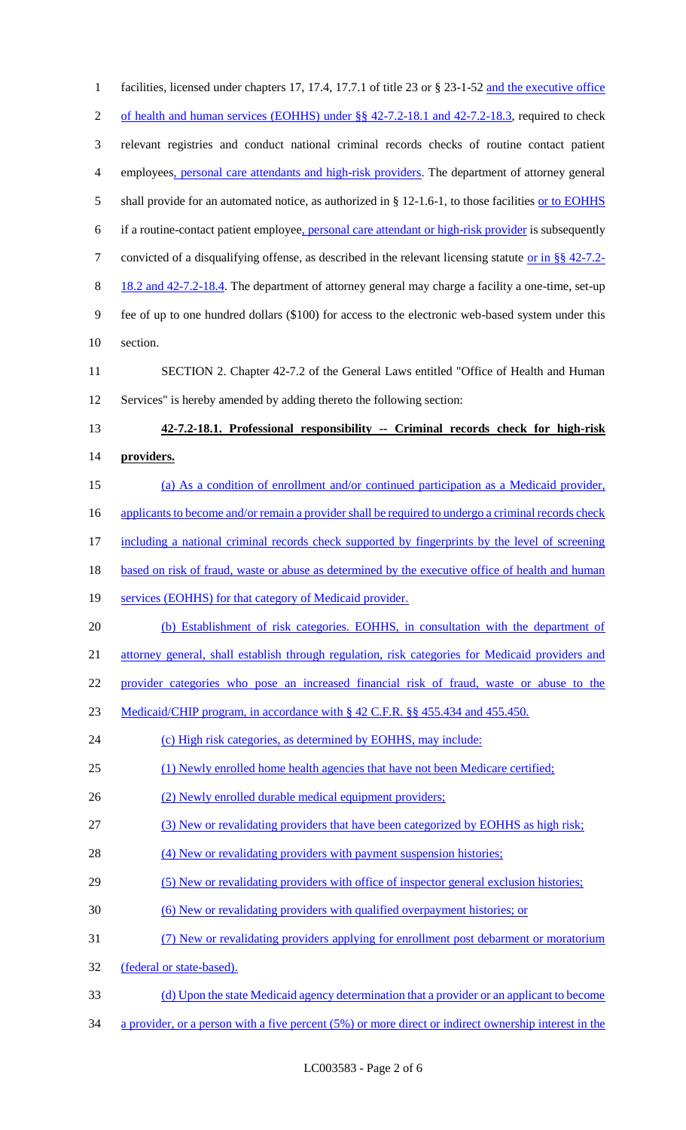| $\mathbf{1}$   | facilities, licensed under chapters 17, 17.4, 17.7.1 of title 23 or § 23-1-52 and the executive office |
|----------------|--------------------------------------------------------------------------------------------------------|
| $\overline{2}$ | of health and human services (EOHHS) under §§ 42-7.2-18.1 and 42-7.2-18.3, required to check           |
| 3              | relevant registries and conduct national criminal records checks of routine contact patient            |
| $\overline{4}$ | employees, personal care attendants and high-risk providers. The department of attorney general        |
| 5              | shall provide for an automated notice, as authorized in $\S$ 12-1.6-1, to those facilities or to EOHHS |
| 6              | if a routine-contact patient employee, personal care attendant or high-risk provider is subsequently   |
| $\tau$         | convicted of a disqualifying offense, as described in the relevant licensing statute or in §§ 42-7.2-  |
| 8              | 18.2 and 42-7.2-18.4. The department of attorney general may charge a facility a one-time, set-up      |
| 9              | fee of up to one hundred dollars (\$100) for access to the electronic web-based system under this      |
| 10             | section.                                                                                               |
| 11             | SECTION 2. Chapter 42-7.2 of the General Laws entitled "Office of Health and Human                     |
| 12             | Services" is hereby amended by adding thereto the following section:                                   |
| 13             | 42-7.2-18.1. Professional responsibility -- Criminal records check for high-risk                       |
| 14             | providers.                                                                                             |
| 15             | (a) As a condition of enrollment and/or continued participation as a Medicaid provider,                |
| 16             | applicants to become and/or remain a provider shall be required to undergo a criminal records check    |
| 17             | including a national criminal records check supported by fingerprints by the level of screening        |
| 18             | based on risk of fraud, waste or abuse as determined by the executive office of health and human       |
| 19             | services (EOHHS) for that category of Medicaid provider.                                               |
| 20             | (b) Establishment of risk categories. EOHHS, in consultation with the department of                    |
| 21             | attorney general, shall establish through regulation, risk categories for Medicaid providers and       |
| 22             | provider categories who pose an increased financial risk of fraud, waste or abuse to the               |
| 23             | Medicaid/CHIP program, in accordance with § 42 C.F.R. §§ 455.434 and 455.450.                          |
| 24             | (c) High risk categories, as determined by EOHHS, may include:                                         |
| 25             | (1) Newly enrolled home health agencies that have not been Medicare certified;                         |
| 26             | (2) Newly enrolled durable medical equipment providers;                                                |
| 27             | (3) New or revalidating providers that have been categorized by EOHHS as high risk;                    |
| 28             | (4) New or revalidating providers with payment suspension histories;                                   |
| 29             | (5) New or revalidating providers with office of inspector general exclusion histories;                |
| 30             | (6) New or revalidating providers with qualified overpayment histories; or                             |
| 31             | (7) New or revalidating providers applying for enrollment post debarment or moratorium                 |
| 32             | (federal or state-based).                                                                              |
| 33             | (d) Upon the state Medicaid agency determination that a provider or an applicant to become             |
| 34             | a provider, or a person with a five percent (5%) or more direct or indirect ownership interest in the  |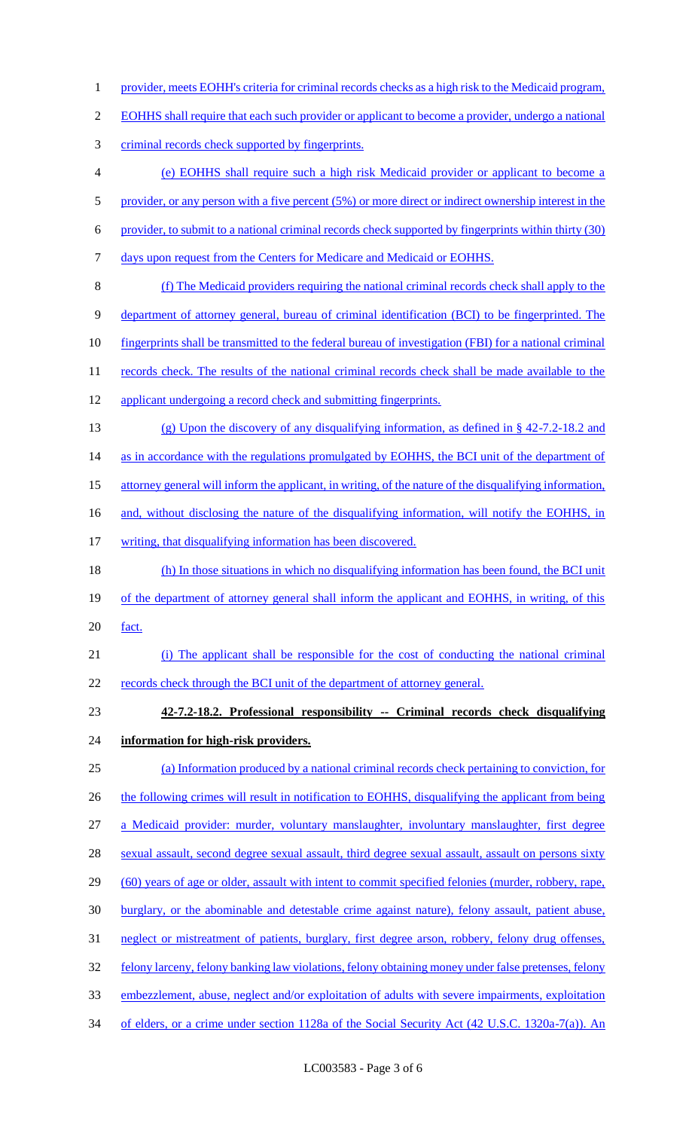- 1 provider, meets EOHH's criteria for criminal records checks as a high risk to the Medicaid program,
- 2 EOHHS shall require that each such provider or applicant to become a provider, undergo a national
- 3 criminal records check supported by fingerprints.
- 4 (e) EOHHS shall require such a high risk Medicaid provider or applicant to become a
- 5 provider, or any person with a five percent (5%) or more direct or indirect ownership interest in the
- 6 provider, to submit to a national criminal records check supported by fingerprints within thirty (30)
- 7 days upon request from the Centers for Medicare and Medicaid or EOHHS.
- 8 (f) The Medicaid providers requiring the national criminal records check shall apply to the
- 9 department of attorney general, bureau of criminal identification (BCI) to be fingerprinted. The
- 10 fingerprints shall be transmitted to the federal bureau of investigation (FBI) for a national criminal
- 11 records check. The results of the national criminal records check shall be made available to the
- 12 applicant undergoing a record check and submitting fingerprints.
- 13 (g) Upon the discovery of any disqualifying information, as defined in § 42-7.2-18.2 and
- 14 as in accordance with the regulations promulgated by EOHHS, the BCI unit of the department of
- 15 attorney general will inform the applicant, in writing, of the nature of the disqualifying information,
- 16 and, without disclosing the nature of the disqualifying information, will notify the EOHHS, in
- 17 writing, that disqualifying information has been discovered.
- 18 (h) In those situations in which no disqualifying information has been found, the BCI unit 19 of the department of attorney general shall inform the applicant and EOHHS, in writing, of this 20 <u>fact.</u>
- 21 (i) The applicant shall be responsible for the cost of conducting the national criminal 22 records check through the BCI unit of the department of attorney general.
- 23 **42-7.2-18.2. Professional responsibility -- Criminal records check disqualifying**

# 24 **information for high-risk providers.**

- 25 (a) Information produced by a national criminal records check pertaining to conviction, for 26 the following crimes will result in notification to EOHHS, disqualifying the applicant from being 27 a Medicaid provider: murder, voluntary manslaughter, involuntary manslaughter, first degree 28 sexual assault, second degree sexual assault, third degree sexual assault, assault on persons sixty 29 (60) years of age or older, assault with intent to commit specified felonies (murder, robbery, rape, 30 burglary, or the abominable and detestable crime against nature), felony assault, patient abuse, 31 neglect or mistreatment of patients, burglary, first degree arson, robbery, felony drug offenses, 32 felony larceny, felony banking law violations, felony obtaining money under false pretenses, felony 33 embezzlement, abuse, neglect and/or exploitation of adults with severe impairments, exploitation
- 34 of elders, or a crime under section 1128a of the Social Security Act (42 U.S.C. 1320a-7(a)). An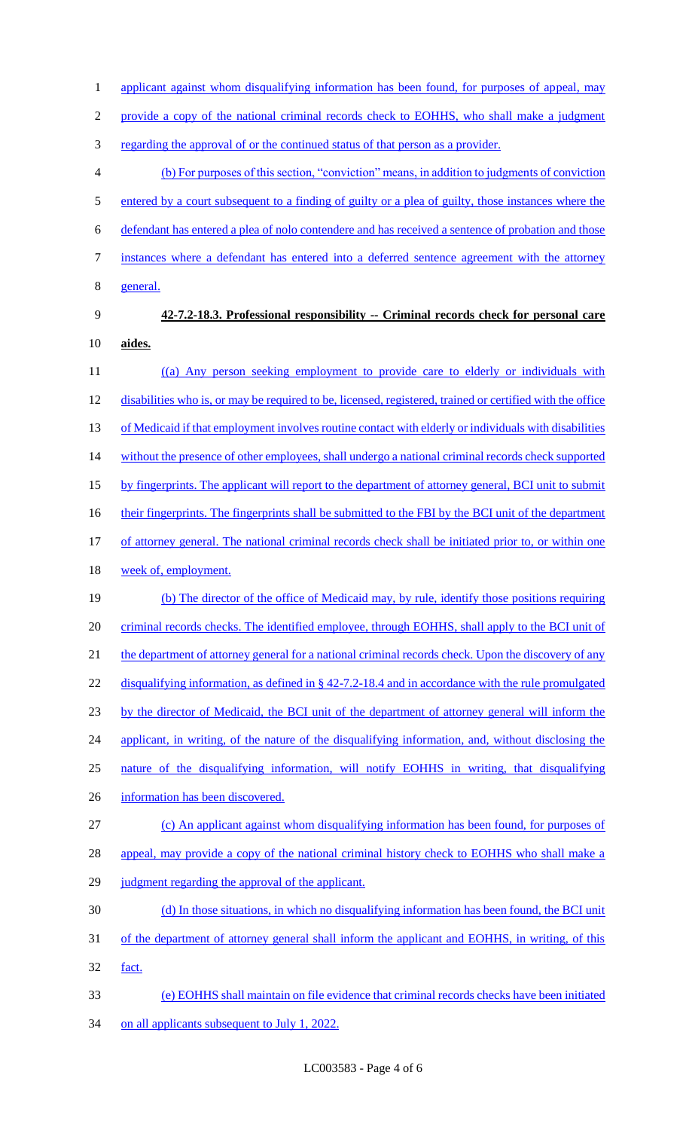1 applicant against whom disqualifying information has been found, for purposes of appeal, may

2 provide a copy of the national criminal records check to EOHHS, who shall make a judgment

3 regarding the approval of or the continued status of that person as a provider.

4 (b) For purposes of this section, "conviction" means, in addition to judgments of conviction 5 entered by a court subsequent to a finding of guilty or a plea of guilty, those instances where the 6 defendant has entered a plea of nolo contendere and has received a sentence of probation and those 7 instances where a defendant has entered into a deferred sentence agreement with the attorney 8 general.

# 9 **42-7.2-18.3. Professional responsibility -- Criminal records check for personal care**  10 **aides.**

11 ((a) Any person seeking employment to provide care to elderly or individuals with 12 disabilities who is, or may be required to be, licensed, registered, trained or certified with the office 13 of Medicaid if that employment involves routine contact with elderly or individuals with disabilities 14 without the presence of other employees, shall undergo a national criminal records check supported 15 by fingerprints. The applicant will report to the department of attorney general, BCI unit to submit 16 their fingerprints. The fingerprints shall be submitted to the FBI by the BCI unit of the department 17 of attorney general. The national criminal records check shall be initiated prior to, or within one 18 week of, employment. 19 (b) The director of the office of Medicaid may, by rule, identify those positions requiring 20 criminal records checks. The identified employee, through EOHHS, shall apply to the BCI unit of

21 the department of attorney general for a national criminal records check. Upon the discovery of any 22 disqualifying information, as defined in § 42-7.2-18.4 and in accordance with the rule promulgated 23 by the director of Medicaid, the BCI unit of the department of attorney general will inform the

24 applicant, in writing, of the nature of the disqualifying information, and, without disclosing the

- 25 nature of the disqualifying information, will notify EOHHS in writing, that disqualifying
- 26 information has been discovered.
- 27 (c) An applicant against whom disqualifying information has been found, for purposes of

28 appeal, may provide a copy of the national criminal history check to EOHHS who shall make a

- 29 judgment regarding the approval of the applicant.
- 30 (d) In those situations, in which no disqualifying information has been found, the BCI unit
- 31 of the department of attorney general shall inform the applicant and EOHHS, in writing, of this 32 fact.
- 33 (e) EOHHS shall maintain on file evidence that criminal records checks have been initiated 34 on all applicants subsequent to July 1, 2022.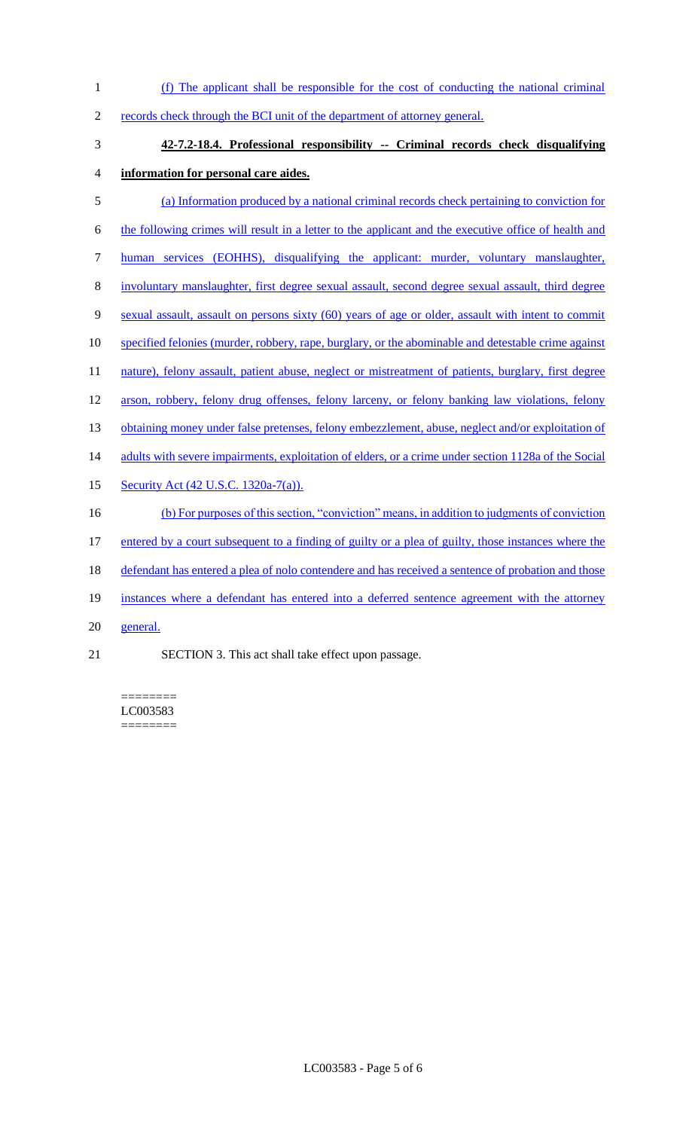(f) The applicant shall be responsible for the cost of conducting the national criminal records check through the BCI unit of the department of attorney general. **42-7.2-18.4. Professional responsibility -- Criminal records check disqualifying information for personal care aides.** (a) Information produced by a national criminal records check pertaining to conviction for the following crimes will result in a letter to the applicant and the executive office of health and human services (EOHHS), disqualifying the applicant: murder, voluntary manslaughter, involuntary manslaughter, first degree sexual assault, second degree sexual assault, third degree sexual assault, assault on persons sixty (60) years of age or older, assault with intent to commit specified felonies (murder, robbery, rape, burglary, or the abominable and detestable crime against 11 nature), felony assault, patient abuse, neglect or mistreatment of patients, burglary, first degree arson, robbery, felony drug offenses, felony larceny, or felony banking law violations, felony 13 obtaining money under false pretenses, felony embezzlement, abuse, neglect and/or exploitation of 14 adults with severe impairments, exploitation of elders, or a crime under section 1128a of the Social 15 Security Act (42 U.S.C. 1320a-7(a)). (b) For purposes of this section, "conviction" means, in addition to judgments of conviction entered by a court subsequent to a finding of guilty or a plea of guilty, those instances where the 18 defendant has entered a plea of nolo contendere and has received a sentence of probation and those instances where a defendant has entered into a deferred sentence agreement with the attorney general. SECTION 3. This act shall take effect upon passage.

======== LC003583 ========